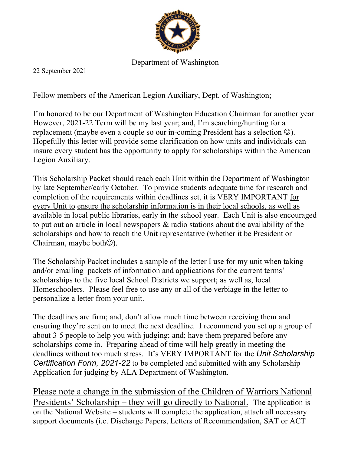

## Department of Washington

22 September 2021

Fellow members of the American Legion Auxiliary, Dept. of Washington;

I'm honored to be our Department of Washington Education Chairman for another year. However, 2021-22 Term will be my last year; and, I'm searching/hunting for a replacement (maybe even a couple so our in-coming President has a selection  $\circledcirc$ ). Hopefully this letter will provide some clarification on how units and individuals can insure every student has the opportunity to apply for scholarships within the American Legion Auxiliary.

This Scholarship Packet should reach each Unit within the Department of Washington by late September/early October. To provide students adequate time for research and completion of the requirements within deadlines set, it is VERY IMPORTANT for every Unit to ensure the scholarship information is in their local schools, as well as available in local public libraries, early in the school year. Each Unit is also encouraged to put out an article in local newspapers & radio stations about the availability of the scholarships and how to reach the Unit representative (whether it be President or Chairman, maybe both $\circledcirc$ ).

The Scholarship Packet includes a sample of the letter I use for my unit when taking and/or emailing packets of information and applications for the current terms' scholarships to the five local School Districts we support; as well as, local Homeschoolers. Please feel free to use any or all of the verbiage in the letter to personalize a letter from your unit.

The deadlines are firm; and, don't allow much time between receiving them and ensuring they're sent on to meet the next deadline. I recommend you set up a group of about 3-5 people to help you with judging; and; have them prepared before any scholarships come in. Preparing ahead of time will help greatly in meeting the deadlines without too much stress. It's VERY IMPORTANT for the *Unit Scholarship Certification Form, 2021-22* to be completed and submitted with any Scholarship Application for judging by ALA Department of Washington.

Please note a change in the submission of the Children of Warriors National Presidents' Scholarship – they will go directly to National. The application is on the National Website – students will complete the application, attach all necessary support documents (i.e. Discharge Papers, Letters of Recommendation, SAT or ACT